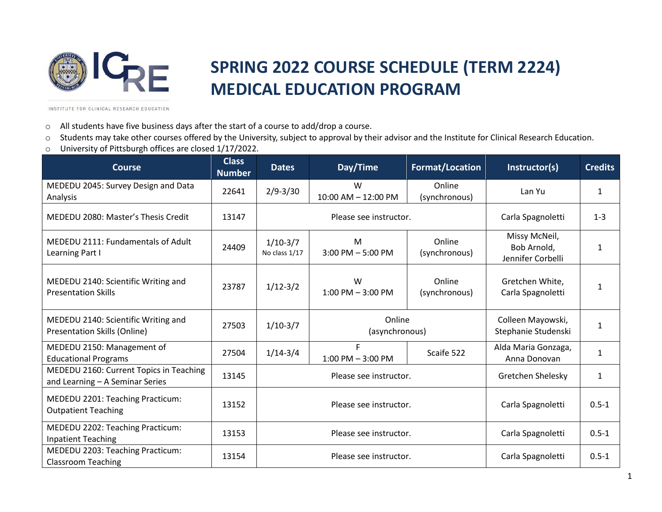

## **SPRING 2022 COURSE SCHEDULE (TERM 2224) MEDICAL EDUCATION PROGRAM**

INSTITUTE FOR CLINICAL RESEARCH EDUCATION

- o All students have five business days after the start of a course to add/drop a course.
- o Students may take other courses offered by the University, subject to approval by their advisor and the Institute for Clinical Research Education.
- o University of Pittsburgh offices are closed 1/17/2022.

| <b>Course</b>                                                              | <b>Class</b><br><b>Number</b> | <b>Dates</b>                | Day/Time                  | <b>Format/Location</b>  | Instructor(s)                                     | <b>Credits</b> |
|----------------------------------------------------------------------------|-------------------------------|-----------------------------|---------------------------|-------------------------|---------------------------------------------------|----------------|
| MEDEDU 2045: Survey Design and Data<br>Analysis                            | 22641                         | $2/9 - 3/30$                | W<br>10:00 AM - 12:00 PM  | Online<br>(synchronous) | Lan Yu                                            | 1              |
| MEDEDU 2080: Master's Thesis Credit                                        | 13147                         | Please see instructor.      |                           |                         | Carla Spagnoletti                                 | $1 - 3$        |
| MEDEDU 2111: Fundamentals of Adult<br>Learning Part I                      | 24409                         | $1/10-3/7$<br>No class 1/17 | M<br>$3:00$ PM $-5:00$ PM | Online<br>(synchronous) | Missy McNeil,<br>Bob Arnold,<br>Jennifer Corbelli | 1              |
| MEDEDU 2140: Scientific Writing and<br><b>Presentation Skills</b>          | 23787                         | $1/12-3/2$                  | W<br>$1:00$ PM $-3:00$ PM | Online<br>(synchronous) | Gretchen White,<br>Carla Spagnoletti              | 1              |
| MEDEDU 2140: Scientific Writing and<br>Presentation Skills (Online)        | 27503                         | $1/10-3/7$                  | Online<br>(asynchronous)  |                         | Colleen Mayowski,<br>Stephanie Studenski          | 1              |
| MEDEDU 2150: Management of<br><b>Educational Programs</b>                  | 27504                         | $1/14 - 3/4$                | F<br>$1:00$ PM $-3:00$ PM | Scaife 522              | Alda Maria Gonzaga,<br>Anna Donovan               | 1              |
| MEDEDU 2160: Current Topics in Teaching<br>and Learning - A Seminar Series | 13145                         | Please see instructor.      |                           |                         | Gretchen Shelesky                                 | $\mathbf 1$    |
| MEDEDU 2201: Teaching Practicum:<br><b>Outpatient Teaching</b>             | 13152                         | Please see instructor.      |                           |                         | Carla Spagnoletti                                 | $0.5 - 1$      |
| MEDEDU 2202: Teaching Practicum:<br><b>Inpatient Teaching</b>              | 13153                         | Please see instructor.      |                           |                         | Carla Spagnoletti                                 | $0.5 - 1$      |
| MEDEDU 2203: Teaching Practicum:<br><b>Classroom Teaching</b>              | 13154                         | Please see instructor.      |                           |                         | Carla Spagnoletti                                 | $0.5 - 1$      |